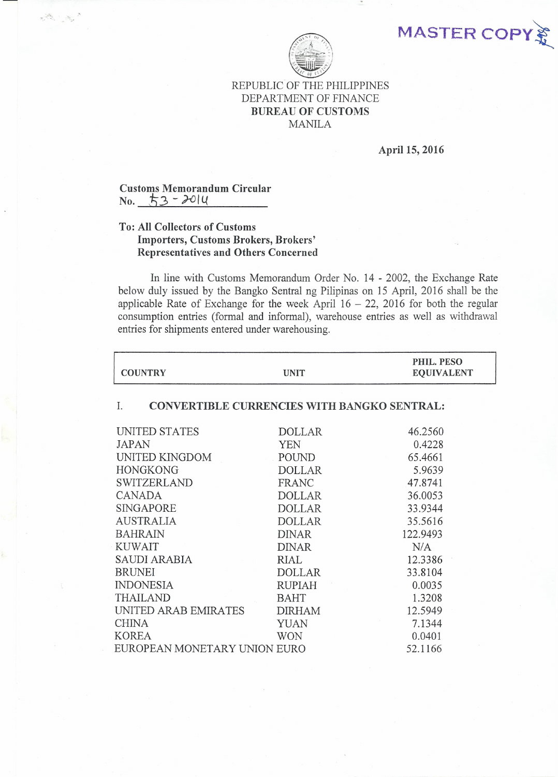MASTER COPY



## REPUBLIC OF THE PHILIPPINES DEPARTMENT OF FINANCE BUREAU OF CUSTOMS MANILA

# April 15, 2016

## Customs Memorandum Circular  $No. 53 - 2014$

 $\label{eq:2.1} \begin{array}{c} \mathcal{L}^2 \mathcal{L}_\mu \\ \mathcal{L}_\mu \end{array}$ 

## To: All Collectors of Customs Importers, Customs Brokers, Brokers' Representatives and Others Concerned

In line with Customs Memorandum Order No. 14 - 2002, the Exchange Rate below duly issued by the Bangko Sentral ng Pilipinas on 15 April, 2016 shall be the applicable Rate of Exchange for the week April  $16 - 22$ , 2016 for both the regular consumption entries (formal and informal), warehouse entries as well as withdrawal entries for shipments entered under warehousing.

| <b>COUNTRY</b>                                           | <b>UNIT</b>   | PHIL. PESO<br><b>EQUIVALENT</b> |
|----------------------------------------------------------|---------------|---------------------------------|
| <b>CONVERTIBLE CURRENCIES WITH BANGKO SENTRAL:</b><br>Ι. |               |                                 |
| UNITED STATES                                            | <b>DOLLAR</b> | 46.2560                         |
| <b>JAPAN</b>                                             | <b>YEN</b>    | 0.4228                          |
| UNITED KINGDOM                                           | POUND         | 65.4661                         |
| <b>HONGKONG</b>                                          | <b>DOLLAR</b> | 5.9639                          |
| SWITZERLAND                                              | <b>FRANC</b>  | 47.8741                         |
| <b>CANADA</b>                                            | <b>DOLLAR</b> | 36.0053                         |
| <b>SINGAPORE</b>                                         | <b>DOLLAR</b> | 33.9344                         |
| <b>AUSTRALIA</b>                                         | <b>DOLLAR</b> | 35.5616                         |
| <b>BAHRAIN</b>                                           | <b>DINAR</b>  | 122.9493                        |
| <b>KUWAIT</b>                                            | <b>DINAR</b>  | N/A                             |
| <b>SAUDI ARABIA</b>                                      | RIAL          | 12.3386                         |
| <b>BRUNEI</b>                                            | <b>DOLLAR</b> | 33.8104                         |
| <b>INDONESIA</b>                                         | <b>RUPIAH</b> | 0.0035                          |
| <b>THAILAND</b>                                          | <b>BAHT</b>   | 1.3208                          |
| UNITED ARAB EMIRATES                                     | <b>DIRHAM</b> | 12.5949                         |
| <b>CHINA</b>                                             | <b>YUAN</b>   | 7.1344                          |
| <b>KOREA</b>                                             | <b>WON</b>    | 0.0401                          |
| EUROPEAN MONETARY UNION EURO                             |               | 52.1166                         |